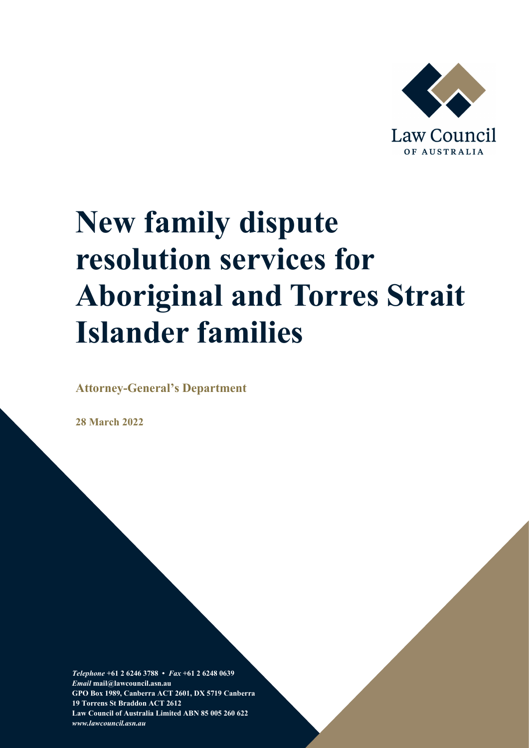

# **New family dispute resolution services for Aboriginal and Torres Strait Islander families**

**Attorney-General's Department**

**28 March 2022**

*Telephone* **+61 2 6246 3788 •** *Fax* **+61 2 6248 0639**  *Email* **mail@lawcouncil.asn.au GPO Box 1989, Canberra ACT 2601, DX 5719 Canberra 19 Torrens St Braddon ACT 2612 Law Council of Australia Limited ABN 85 005 260 622** *www.lawcouncil.asn.au*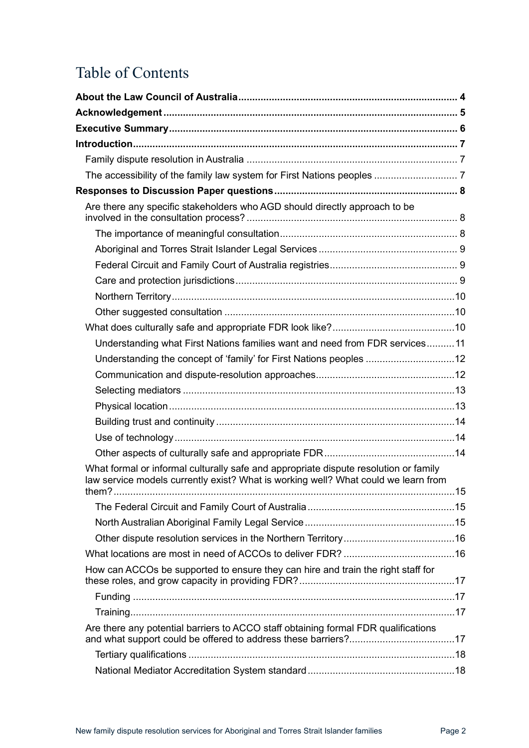# Table of Contents

| Are there any specific stakeholders who AGD should directly approach to be                                                                                                 |  |
|----------------------------------------------------------------------------------------------------------------------------------------------------------------------------|--|
|                                                                                                                                                                            |  |
|                                                                                                                                                                            |  |
|                                                                                                                                                                            |  |
|                                                                                                                                                                            |  |
|                                                                                                                                                                            |  |
|                                                                                                                                                                            |  |
|                                                                                                                                                                            |  |
| Understanding what First Nations families want and need from FDR services 11                                                                                               |  |
| Understanding the concept of 'family' for First Nations peoples 12                                                                                                         |  |
|                                                                                                                                                                            |  |
|                                                                                                                                                                            |  |
|                                                                                                                                                                            |  |
|                                                                                                                                                                            |  |
|                                                                                                                                                                            |  |
|                                                                                                                                                                            |  |
| What formal or informal culturally safe and appropriate dispute resolution or family<br>law service models currently exist? What is working well? What could we learn from |  |
|                                                                                                                                                                            |  |
|                                                                                                                                                                            |  |
|                                                                                                                                                                            |  |
|                                                                                                                                                                            |  |
|                                                                                                                                                                            |  |
| How can ACCOs be supported to ensure they can hire and train the right staff for                                                                                           |  |
|                                                                                                                                                                            |  |
|                                                                                                                                                                            |  |
| Are there any potential barriers to ACCO staff obtaining formal FDR qualifications                                                                                         |  |
|                                                                                                                                                                            |  |
|                                                                                                                                                                            |  |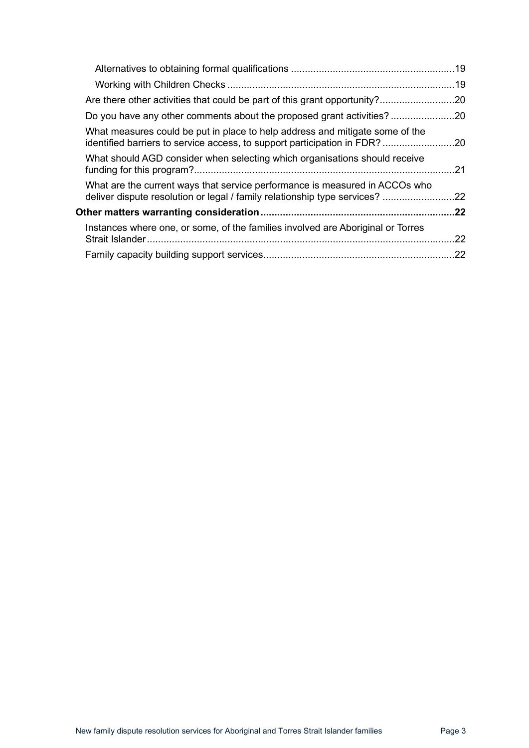| Do you have any other comments about the proposed grant activities?                                                                                     |     |
|---------------------------------------------------------------------------------------------------------------------------------------------------------|-----|
| What measures could be put in place to help address and mitigate some of the<br>identified barriers to service access, to support participation in FDR? |     |
| What should AGD consider when selecting which organisations should receive                                                                              | .21 |
| What are the current ways that service performance is measured in ACCOs who<br>deliver dispute resolution or legal / family relationship type services? | .22 |
| Other matters warranting consideration………………………………………………………………22                                                                                        |     |
| Instances where one, or some, of the families involved are Aboriginal or Torres                                                                         | .22 |
|                                                                                                                                                         |     |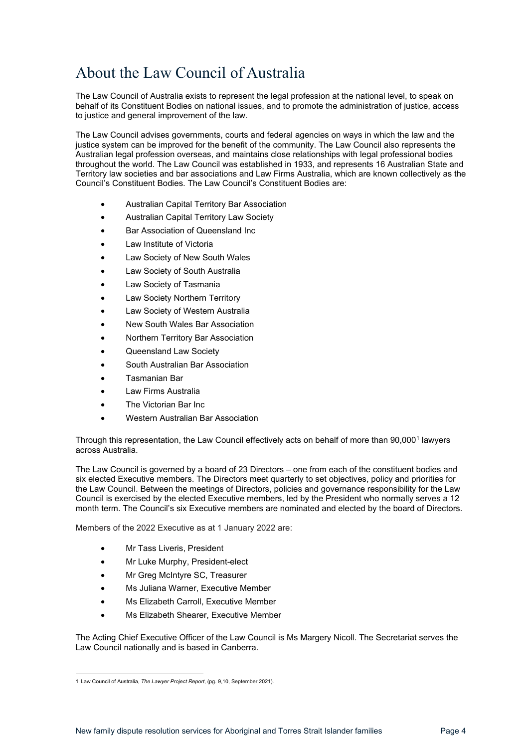# <span id="page-3-0"></span>About the Law Council of Australia

The Law Council of Australia exists to represent the legal profession at the national level, to speak on behalf of its Constituent Bodies on national issues, and to promote the administration of justice, access to justice and general improvement of the law.

The Law Council advises governments, courts and federal agencies on ways in which the law and the justice system can be improved for the benefit of the community. The Law Council also represents the Australian legal profession overseas, and maintains close relationships with legal professional bodies throughout the world. The Law Council was established in 1933, and represents 16 Australian State and Territory law societies and bar associations and Law Firms Australia, which are known collectively as the Council's Constituent Bodies. The Law Council's Constituent Bodies are:

- Australian Capital Territory Bar Association
- Australian Capital Territory Law Society
- Bar Association of Queensland Inc
- Law Institute of Victoria
- Law Society of New South Wales
- Law Society of South Australia
- Law Society of Tasmania
- Law Society Northern Territory
- Law Society of Western Australia
- New South Wales Bar Association
- Northern Territory Bar Association
- Queensland Law Society
- South Australian Bar Association
- Tasmanian Bar
- Law Firms Australia
- The Victorian Bar Inc.
- Western Australian Bar Association

Through this representation, the Law Council effectively acts on behalf of more than 90,000<sup>[1](#page-3-1)</sup> lawyers across Australia.

The Law Council is governed by a board of 23 Directors – one from each of the constituent bodies and six elected Executive members. The Directors meet quarterly to set objectives, policy and priorities for the Law Council. Between the meetings of Directors, policies and governance responsibility for the Law Council is exercised by the elected Executive members, led by the President who normally serves a 12 month term. The Council's six Executive members are nominated and elected by the board of Directors.

Members of the 2022 Executive as at 1 January 2022 are:

- Mr Tass Liveris, President
- Mr Luke Murphy, President-elect
- Mr Greg McIntyre SC, Treasurer
- Ms Juliana Warner, Executive Member
- Ms Elizabeth Carroll, Executive Member
- Ms Elizabeth Shearer, Executive Member

The Acting Chief Executive Officer of the Law Council is Ms Margery Nicoll. The Secretariat serves the Law Council nationally and is based in Canberra.

<span id="page-3-1"></span><sup>1</sup> Law Council of Australia, *The Lawyer Project Report*, (pg. 9,10, September 2021).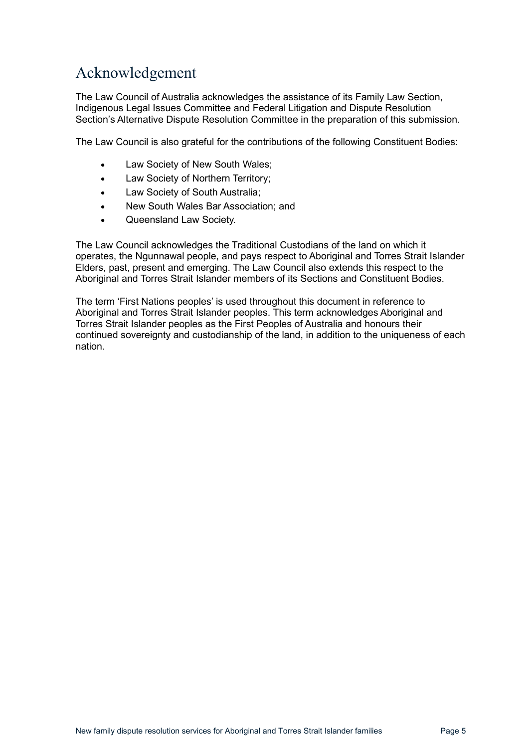# <span id="page-4-0"></span>Acknowledgement

The Law Council of Australia acknowledges the assistance of its Family Law Section, Indigenous Legal Issues Committee and Federal Litigation and Dispute Resolution Section's Alternative Dispute Resolution Committee in the preparation of this submission.

The Law Council is also grateful for the contributions of the following Constituent Bodies:

- Law Society of New South Wales;
- Law Society of Northern Territory;
- Law Society of South Australia;
- New South Wales Bar Association; and
- Queensland Law Society.

The Law Council acknowledges the Traditional Custodians of the land on which it operates, the Ngunnawal people, and pays respect to Aboriginal and Torres Strait Islander Elders, past, present and emerging. The Law Council also extends this respect to the Aboriginal and Torres Strait Islander members of its Sections and Constituent Bodies.

The term 'First Nations peoples' is used throughout this document in reference to Aboriginal and Torres Strait Islander peoples. This term acknowledges Aboriginal and Torres Strait Islander peoples as the First Peoples of Australia and honours their continued sovereignty and custodianship of the land, in addition to the uniqueness of each nation.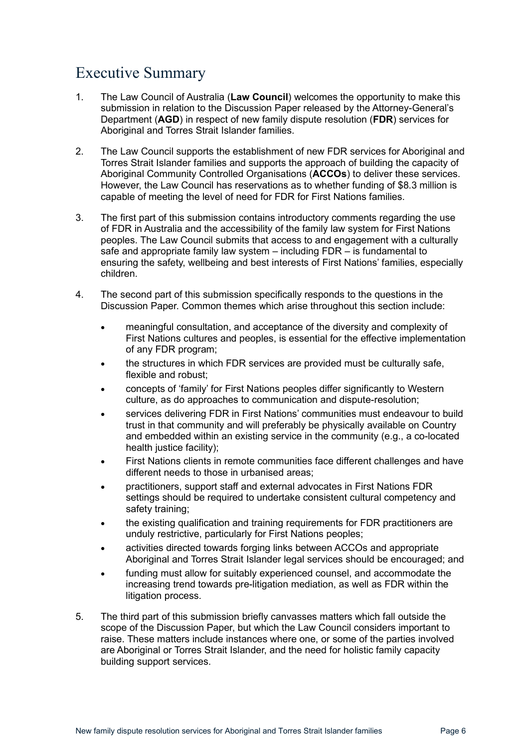# <span id="page-5-0"></span>Executive Summary

- 1. The Law Council of Australia (**Law Council**) welcomes the opportunity to make this submission in relation to the Discussion Paper released by the Attorney-General's Department (**AGD**) in respect of new family dispute resolution (**FDR**) services for Aboriginal and Torres Strait Islander families.
- 2. The Law Council supports the establishment of new FDR services for Aboriginal and Torres Strait Islander families and supports the approach of building the capacity of Aboriginal Community Controlled Organisations (**ACCOs**) to deliver these services. However, the Law Council has reservations as to whether funding of \$8.3 million is capable of meeting the level of need for FDR for First Nations families.
- 3. The first part of this submission contains introductory comments regarding the use of FDR in Australia and the accessibility of the family law system for First Nations peoples. The Law Council submits that access to and engagement with a culturally safe and appropriate family law system – including FDR – is fundamental to ensuring the safety, wellbeing and best interests of First Nations' families, especially children.
- 4. The second part of this submission specifically responds to the questions in the Discussion Paper. Common themes which arise throughout this section include:
	- meaningful consultation, and acceptance of the diversity and complexity of First Nations cultures and peoples, is essential for the effective implementation of any FDR program;
	- the structures in which FDR services are provided must be culturally safe, flexible and robust;
	- concepts of 'family' for First Nations peoples differ significantly to Western culture, as do approaches to communication and dispute-resolution;
	- services delivering FDR in First Nations' communities must endeavour to build trust in that community and will preferably be physically available on Country and embedded within an existing service in the community (e.g., a co-located health justice facility);
	- First Nations clients in remote communities face different challenges and have different needs to those in urbanised areas;
	- practitioners, support staff and external advocates in First Nations FDR settings should be required to undertake consistent cultural competency and safety training:
	- the existing qualification and training requirements for FDR practitioners are unduly restrictive, particularly for First Nations peoples;
	- activities directed towards forging links between ACCOs and appropriate Aboriginal and Torres Strait Islander legal services should be encouraged; and
	- funding must allow for suitably experienced counsel, and accommodate the increasing trend towards pre-litigation mediation, as well as FDR within the litigation process.
- 5. The third part of this submission briefly canvasses matters which fall outside the scope of the Discussion Paper, but which the Law Council considers important to raise. These matters include instances where one, or some of the parties involved are Aboriginal or Torres Strait Islander, and the need for holistic family capacity building support services.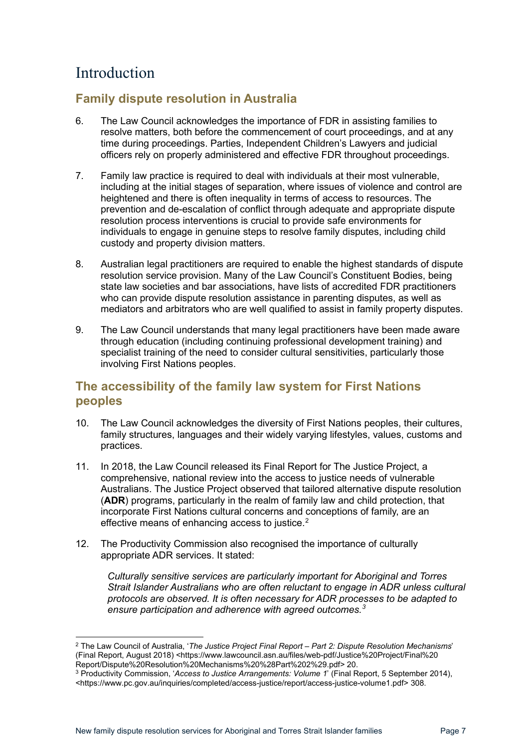# <span id="page-6-0"></span>Introduction

## <span id="page-6-1"></span>**Family dispute resolution in Australia**

- 6. The Law Council acknowledges the importance of FDR in assisting families to resolve matters, both before the commencement of court proceedings, and at any time during proceedings. Parties, Independent Children's Lawyers and judicial officers rely on properly administered and effective FDR throughout proceedings.
- 7. Family law practice is required to deal with individuals at their most vulnerable, including at the initial stages of separation, where issues of violence and control are heightened and there is often inequality in terms of access to resources. The prevention and de-escalation of conflict through adequate and appropriate dispute resolution process interventions is crucial to provide safe environments for individuals to engage in genuine steps to resolve family disputes, including child custody and property division matters.
- 8. Australian legal practitioners are required to enable the highest standards of dispute resolution service provision. Many of the Law Council's Constituent Bodies, being state law societies and bar associations, have lists of accredited FDR practitioners who can provide dispute resolution assistance in parenting disputes, as well as mediators and arbitrators who are well qualified to assist in family property disputes.
- 9. The Law Council understands that many legal practitioners have been made aware through education (including continuing professional development training) and specialist training of the need to consider cultural sensitivities, particularly those involving First Nations peoples.

## <span id="page-6-2"></span>**The accessibility of the family law system for First Nations peoples**

- 10. The Law Council acknowledges the diversity of First Nations peoples, their cultures, family structures, languages and their widely varying lifestyles, values, customs and practices.
- 11. In 2018, the Law Council released its Final Report for The Justice Project, a comprehensive, national review into the access to justice needs of vulnerable Australians. The Justice Project observed that tailored alternative dispute resolution (**ADR**) programs, particularly in the realm of family law and child protection, that incorporate First Nations cultural concerns and conceptions of family, are an effective means of enhancing access to justice.<sup>[2](#page-6-3)</sup>
- 12. The Productivity Commission also recognised the importance of culturally appropriate ADR services. It stated:

*Culturally sensitive services are particularly important for Aboriginal and Torres Strait Islander Australians who are often reluctant to engage in ADR unless cultural protocols are observed. It is often necessary for ADR processes to be adapted to ensure participation and adherence with agreed outcomes.[3](#page-6-4)*

<span id="page-6-3"></span><sup>2</sup> The Law Council of Australia, '*The Justice Project Final Report – Part 2: Dispute Resolution Mechanisms*' (Final Report, August 2018) <https://www.lawcouncil.asn.au/files/web-pdf/Justice%20Project/Final%20<br>Report/Dispute%20Resolution%20Mechanisms%20%28Part%202%29.pdf> 20.

<span id="page-6-4"></span><sup>&</sup>lt;sup>3</sup> Productivity Commission, '*Access to Justice Arrangements: Volume 1*' (Final Report, 5 September 2014), <https://www.pc.gov.au/inquiries/completed/access-justice/report/access-justice-volume1.pdf> 308.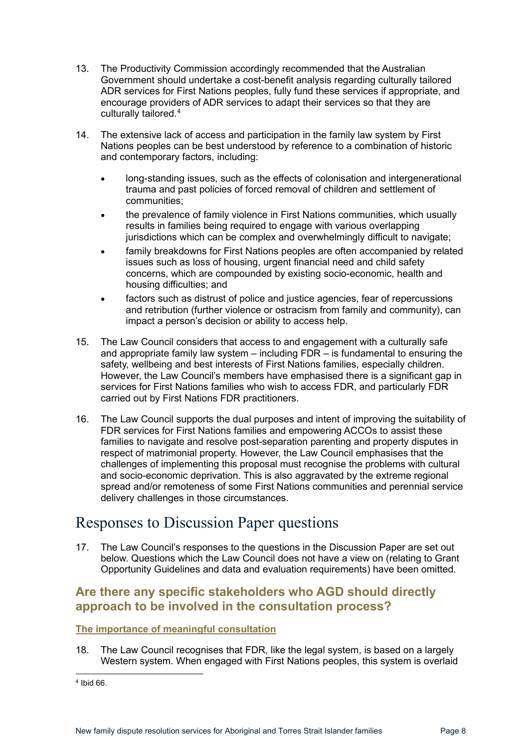- 13. The Productivity Commission accordingly recommended that the Australian Government should undertake a cost-benefit analysis regarding culturally tailored ADR services for First Nations peoples, fully fund these services if appropriate, and encourage providers of ADR services to adapt their services so that they are culturally tailored.[4](#page-7-3)
- 14. The extensive lack of access and participation in the family law system by First Nations peoples can be best understood by reference to a combination of historic and contemporary factors, including:
	- long-standing issues, such as the effects of colonisation and intergenerational trauma and past policies of forced removal of children and settlement of communities;
	- the prevalence of family violence in First Nations communities, which usually results in families being required to engage with various overlapping jurisdictions which can be complex and overwhelmingly difficult to navigate;
	- family breakdowns for First Nations peoples are often accompanied by related issues such as loss of housing, urgent financial need and child safety concerns, which are compounded by existing socio-economic, health and housing difficulties; and
	- factors such as distrust of police and justice agencies, fear of repercussions and retribution (further violence or ostracism from family and community), can impact a person's decision or ability to access help.
- 15. The Law Council considers that access to and engagement with a culturally safe and appropriate family law system – including FDR – is fundamental to ensuring the safety, wellbeing and best interests of First Nations families, especially children. However, the Law Council's members have emphasised there is a significant gap in services for First Nations families who wish to access FDR, and particularly FDR carried out by First Nations FDR practitioners.
- 16. The Law Council supports the dual purposes and intent of improving the suitability of FDR services for First Nations families and empowering ACCOs to assist these families to navigate and resolve post-separation parenting and property disputes in respect of matrimonial property. However, the Law Council emphasises that the challenges of implementing this proposal must recognise the problems with cultural and socio-economic deprivation. This is also aggravated by the extreme regional spread and/or remoteness of some First Nations communities and perennial service delivery challenges in those circumstances.

## <span id="page-7-0"></span>Responses to Discussion Paper questions

17. The Law Council's responses to the questions in the Discussion Paper are set out below. Questions which the Law Council does not have a view on (relating to Grant Opportunity Guidelines and data and evaluation requirements) have been omitted.

## <span id="page-7-1"></span>**Are there any specific stakeholders who AGD should directly approach to be involved in the consultation process?**

## <span id="page-7-2"></span>**The importance of meaningful consultation**

18. The Law Council recognises that FDR, like the legal system, is based on a largely Western system. When engaged with First Nations peoples, this system is overlaid

<span id="page-7-3"></span><sup>4</sup> Ibid 66.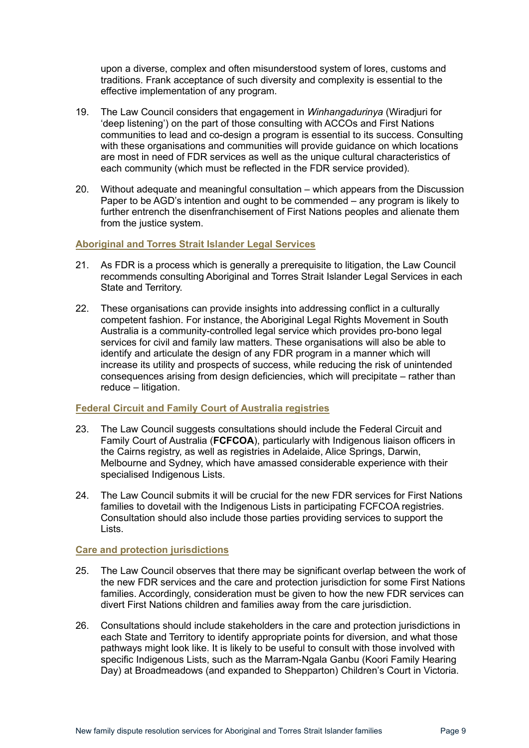upon a diverse, complex and often misunderstood system of lores, customs and traditions. Frank acceptance of such diversity and complexity is essential to the effective implementation of any program.

- 19. The Law Council considers that engagement in *Winhangadurinya* (Wiradjuri for 'deep listening') on the part of those consulting with ACCOs and First Nations communities to lead and co-design a program is essential to its success. Consulting with these organisations and communities will provide guidance on which locations are most in need of FDR services as well as the unique cultural characteristics of each community (which must be reflected in the FDR service provided).
- 20. Without adequate and meaningful consultation which appears from the Discussion Paper to be AGD's intention and ought to be commended – any program is likely to further entrench the disenfranchisement of First Nations peoples and alienate them from the justice system.

#### <span id="page-8-0"></span>**Aboriginal and Torres Strait Islander Legal Services**

- 21. As FDR is a process which is generally a prerequisite to litigation, the Law Council recommends consulting Aboriginal and Torres Strait Islander Legal Services in each State and Territory.
- 22. These organisations can provide insights into addressing conflict in a culturally competent fashion. For instance, the Aboriginal Legal Rights Movement in South Australia is a community-controlled legal service which provides pro-bono legal services for civil and family law matters. These organisations will also be able to identify and articulate the design of any FDR program in a manner which will increase its utility and prospects of success, while reducing the risk of unintended consequences arising from design deficiencies, which will precipitate – rather than reduce – litigation.

#### <span id="page-8-1"></span>**Federal Circuit and Family Court of Australia registries**

- 23. The Law Council suggests consultations should include the Federal Circuit and Family Court of Australia (**FCFCOA**), particularly with Indigenous liaison officers in the Cairns registry, as well as registries in Adelaide, Alice Springs, Darwin, Melbourne and Sydney, which have amassed considerable experience with their specialised Indigenous Lists.
- 24. The Law Council submits it will be crucial for the new FDR services for First Nations families to dovetail with the Indigenous Lists in participating FCFCOA registries. Consultation should also include those parties providing services to support the Lists.

#### <span id="page-8-2"></span>**Care and protection jurisdictions**

- 25. The Law Council observes that there may be significant overlap between the work of the new FDR services and the care and protection jurisdiction for some First Nations families. Accordingly, consideration must be given to how the new FDR services can divert First Nations children and families away from the care jurisdiction.
- 26. Consultations should include stakeholders in the care and protection jurisdictions in each State and Territory to identify appropriate points for diversion, and what those pathways might look like. It is likely to be useful to consult with those involved with specific Indigenous Lists, such as the Marram-Ngala Ganbu (Koori Family Hearing Day) at Broadmeadows (and expanded to Shepparton) Children's Court in Victoria.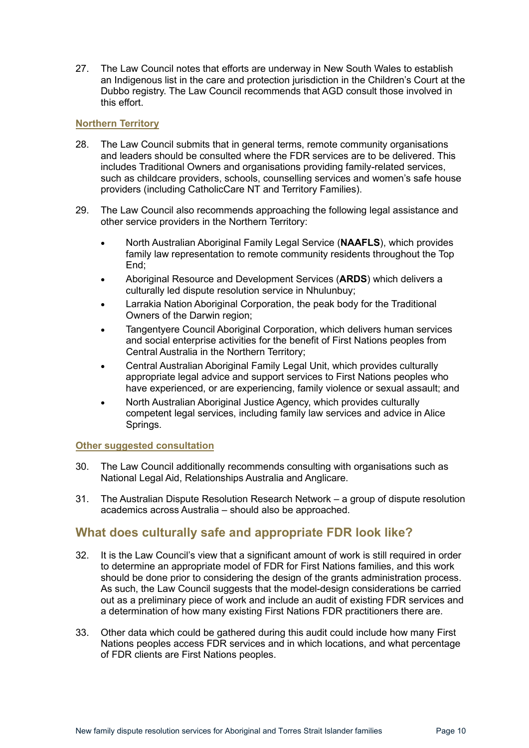27. The Law Council notes that efforts are underway in New South Wales to establish an Indigenous list in the care and protection jurisdiction in the Children's Court at the Dubbo registry. The Law Council recommends that AGD consult those involved in this effort.

## <span id="page-9-0"></span>**Northern Territory**

- 28. The Law Council submits that in general terms, remote community organisations and leaders should be consulted where the FDR services are to be delivered. This includes Traditional Owners and organisations providing family-related services, such as childcare providers, schools, counselling services and women's safe house providers (including CatholicCare NT and Territory Families).
- 29. The Law Council also recommends approaching the following legal assistance and other service providers in the Northern Territory:
	- North Australian Aboriginal Family Legal Service (**NAAFLS**), which provides family law representation to remote community residents throughout the Top End:
	- Aboriginal Resource and Development Services (**ARDS**) which delivers a culturally led dispute resolution service in Nhulunbuy;
	- Larrakia Nation Aboriginal Corporation, the peak body for the Traditional Owners of the Darwin region;
	- Tangentyere Council Aboriginal Corporation, which delivers human services and social enterprise activities for the benefit of First Nations peoples from Central Australia in the Northern Territory;
	- Central Australian Aboriginal Family Legal Unit, which provides culturally appropriate legal advice and support services to First Nations peoples who have experienced, or are experiencing, family violence or sexual assault; and
	- North Australian Aboriginal Justice Agency, which provides culturally competent legal services, including family law services and advice in Alice Springs.

## <span id="page-9-1"></span>**Other suggested consultation**

- 30. The Law Council additionally recommends consulting with organisations such as National Legal Aid, Relationships Australia and Anglicare.
- 31. The Australian Dispute Resolution Research Network a group of dispute resolution academics across Australia – should also be approached.

## <span id="page-9-2"></span>**What does culturally safe and appropriate FDR look like?**

- 32. It is the Law Council's view that a significant amount of work is still required in order to determine an appropriate model of FDR for First Nations families, and this work should be done prior to considering the design of the grants administration process. As such, the Law Council suggests that the model-design considerations be carried out as a preliminary piece of work and include an audit of existing FDR services and a determination of how many existing First Nations FDR practitioners there are.
- 33. Other data which could be gathered during this audit could include how many First Nations peoples access FDR services and in which locations, and what percentage of FDR clients are First Nations peoples.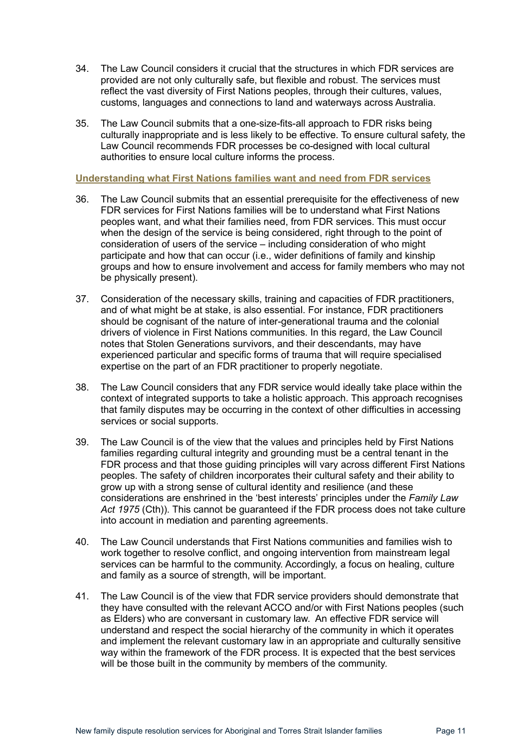- 34. The Law Council considers it crucial that the structures in which FDR services are provided are not only culturally safe, but flexible and robust. The services must reflect the vast diversity of First Nations peoples, through their cultures, values, customs, languages and connections to land and waterways across Australia.
- 35. The Law Council submits that a one-size-fits-all approach to FDR risks being culturally inappropriate and is less likely to be effective. To ensure cultural safety, the Law Council recommends FDR processes be co-designed with local cultural authorities to ensure local culture informs the process.

#### <span id="page-10-0"></span>**Understanding what First Nations families want and need from FDR services**

- 36. The Law Council submits that an essential prerequisite for the effectiveness of new FDR services for First Nations families will be to understand what First Nations peoples want, and what their families need, from FDR services. This must occur when the design of the service is being considered, right through to the point of consideration of users of the service – including consideration of who might participate and how that can occur (i.e., wider definitions of family and kinship groups and how to ensure involvement and access for family members who may not be physically present).
- 37. Consideration of the necessary skills, training and capacities of FDR practitioners, and of what might be at stake, is also essential. For instance, FDR practitioners should be cognisant of the nature of inter-generational trauma and the colonial drivers of violence in First Nations communities. In this regard, the Law Council notes that Stolen Generations survivors, and their descendants, may have experienced particular and specific forms of trauma that will require specialised expertise on the part of an FDR practitioner to properly negotiate.
- 38. The Law Council considers that any FDR service would ideally take place within the context of integrated supports to take a holistic approach. This approach recognises that family disputes may be occurring in the context of other difficulties in accessing services or social supports.
- 39. The Law Council is of the view that the values and principles held by First Nations families regarding cultural integrity and grounding must be a central tenant in the FDR process and that those guiding principles will vary across different First Nations peoples. The safety of children incorporates their cultural safety and their ability to grow up with a strong sense of cultural identity and resilience (and these considerations are enshrined in the 'best interests' principles under the *Family Law Act 1975* (Cth)). This cannot be guaranteed if the FDR process does not take culture into account in mediation and parenting agreements.
- 40. The Law Council understands that First Nations communities and families wish to work together to resolve conflict, and ongoing intervention from mainstream legal services can be harmful to the community. Accordingly, a focus on healing, culture and family as a source of strength, will be important.
- 41. The Law Council is of the view that FDR service providers should demonstrate that they have consulted with the relevant ACCO and/or with First Nations peoples (such as Elders) who are conversant in customary law. An effective FDR service will understand and respect the social hierarchy of the community in which it operates and implement the relevant customary law in an appropriate and culturally sensitive way within the framework of the FDR process. It is expected that the best services will be those built in the community by members of the community.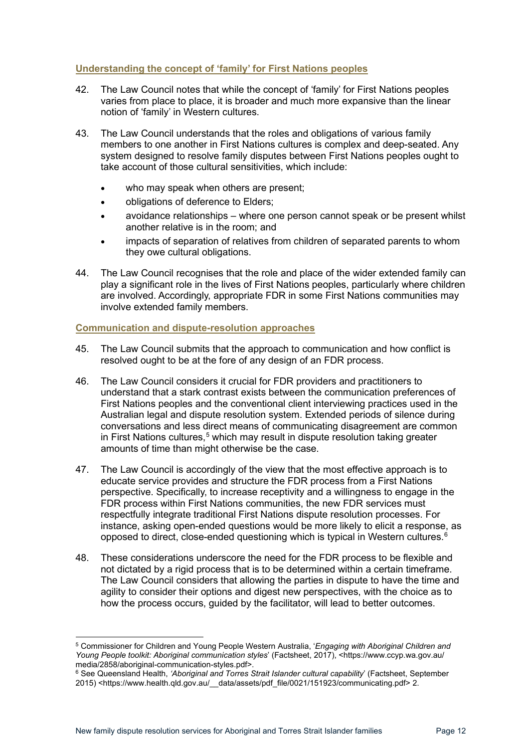## <span id="page-11-0"></span>**Understanding the concept of 'family' for First Nations peoples**

- 42. The Law Council notes that while the concept of 'family' for First Nations peoples varies from place to place, it is broader and much more expansive than the linear notion of 'family' in Western cultures.
- 43. The Law Council understands that the roles and obligations of various family members to one another in First Nations cultures is complex and deep-seated. Any system designed to resolve family disputes between First Nations peoples ought to take account of those cultural sensitivities, which include:
	- who may speak when others are present;
	- obligations of deference to Elders;
	- avoidance relationships where one person cannot speak or be present whilst another relative is in the room; and
	- impacts of separation of relatives from children of separated parents to whom they owe cultural obligations.
- 44. The Law Council recognises that the role and place of the wider extended family can play a significant role in the lives of First Nations peoples, particularly where children are involved. Accordingly, appropriate FDR in some First Nations communities may involve extended family members.

#### <span id="page-11-1"></span>**Communication and dispute-resolution approaches**

- 45. The Law Council submits that the approach to communication and how conflict is resolved ought to be at the fore of any design of an FDR process.
- 46. The Law Council considers it crucial for FDR providers and practitioners to understand that a stark contrast exists between the communication preferences of First Nations peoples and the conventional client interviewing practices used in the Australian legal and dispute resolution system. Extended periods of silence during conversations and less direct means of communicating disagreement are common in First Nations cultures,<sup>[5](#page-11-2)</sup> which may result in dispute resolution taking greater amounts of time than might otherwise be the case.
- 47. The Law Council is accordingly of the view that the most effective approach is to educate service provides and structure the FDR process from a First Nations perspective. Specifically, to increase receptivity and a willingness to engage in the FDR process within First Nations communities, the new FDR services must respectfully integrate traditional First Nations dispute resolution processes. For instance, asking open-ended questions would be more likely to elicit a response, as opposed to direct, close-ended questioning which is typical in Western cultures. $^{\rm 6}$  $^{\rm 6}$  $^{\rm 6}$
- 48. These considerations underscore the need for the FDR process to be flexible and not dictated by a rigid process that is to be determined within a certain timeframe. The Law Council considers that allowing the parties in dispute to have the time and agility to consider their options and digest new perspectives, with the choice as to how the process occurs, guided by the facilitator, will lead to better outcomes.

<span id="page-11-2"></span><sup>5</sup> Commissioner for Children and Young People Western Australia, '*Engaging with Aboriginal Children and Young People toolkit: Aboriginal communication styles*' (Factsheet, 2017), <https://www.ccyp.wa.gov.au/ media/2858/aboriginal-communication-styles.pdf>.

<span id="page-11-3"></span><sup>6</sup> See Queensland Health, *'Aboriginal and Torres Strait Islander cultural capability*' (Factsheet, September 2015) <https://www.health.qld.gov.au/\_\_data/assets/pdf\_file/0021/151923/communicating.pdf> 2.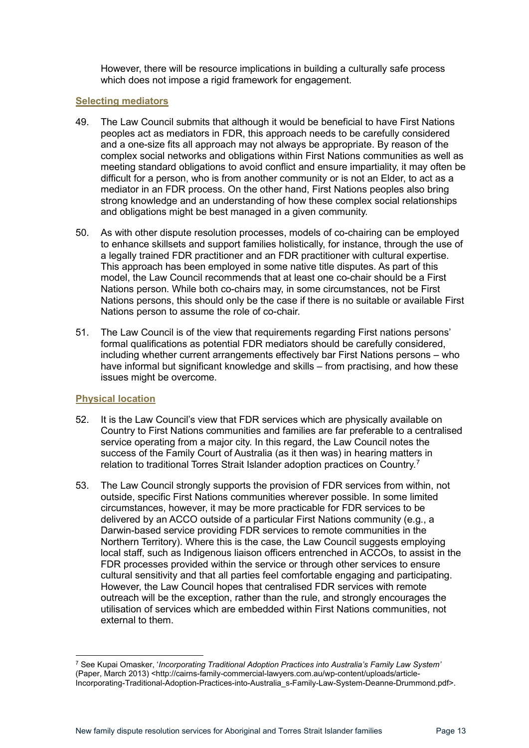However, there will be resource implications in building a culturally safe process which does not impose a rigid framework for engagement.

#### <span id="page-12-0"></span>**Selecting mediators**

- 49. The Law Council submits that although it would be beneficial to have First Nations peoples act as mediators in FDR, this approach needs to be carefully considered and a one-size fits all approach may not always be appropriate. By reason of the complex social networks and obligations within First Nations communities as well as meeting standard obligations to avoid conflict and ensure impartiality, it may often be difficult for a person, who is from another community or is not an Elder, to act as a mediator in an FDR process. On the other hand, First Nations peoples also bring strong knowledge and an understanding of how these complex social relationships and obligations might be best managed in a given community.
- 50. As with other dispute resolution processes, models of co-chairing can be employed to enhance skillsets and support families holistically, for instance, through the use of a legally trained FDR practitioner and an FDR practitioner with cultural expertise. This approach has been employed in some native title disputes. As part of this model, the Law Council recommends that at least one co-chair should be a First Nations person. While both co-chairs may, in some circumstances, not be First Nations persons, this should only be the case if there is no suitable or available First Nations person to assume the role of co-chair.
- 51. The Law Council is of the view that requirements regarding First nations persons' formal qualifications as potential FDR mediators should be carefully considered, including whether current arrangements effectively bar First Nations persons – who have informal but significant knowledge and skills – from practising, and how these issues might be overcome.

## <span id="page-12-1"></span>**Physical location**

- 52. It is the Law Council's view that FDR services which are physically available on Country to First Nations communities and families are far preferable to a centralised service operating from a major city. In this regard, the Law Council notes the success of the Family Court of Australia (as it then was) in hearing matters in relation to traditional Torres Strait Islander adoption practices on Country.<sup>[7](#page-12-2)</sup>
- 53. The Law Council strongly supports the provision of FDR services from within, not outside, specific First Nations communities wherever possible. In some limited circumstances, however, it may be more practicable for FDR services to be delivered by an ACCO outside of a particular First Nations community (e.g., a Darwin-based service providing FDR services to remote communities in the Northern Territory). Where this is the case, the Law Council suggests employing local staff, such as Indigenous liaison officers entrenched in ACCOs, to assist in the FDR processes provided within the service or through other services to ensure cultural sensitivity and that all parties feel comfortable engaging and participating. However, the Law Council hopes that centralised FDR services with remote outreach will be the exception, rather than the rule, and strongly encourages the utilisation of services which are embedded within First Nations communities, not external to them.

<span id="page-12-2"></span><sup>7</sup> See Kupai Omasker, '*Incorporating Traditional Adoption Practices into Australia's Family Law System'* (Paper, March 2013) <http://cairns-family-commercial-lawyers.com.au/wp-content/uploads/article-Incorporating-Traditional-Adoption-Practices-into-Australia\_s-Family-Law-System-Deanne-Drummond.pdf>.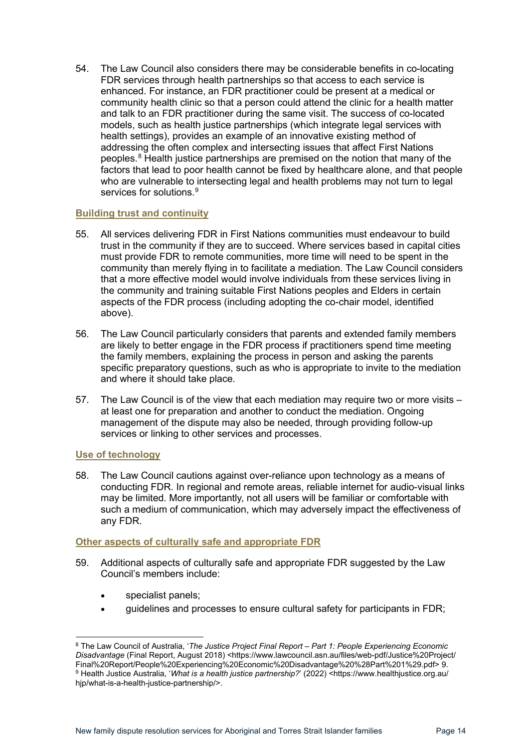54. The Law Council also considers there may be considerable benefits in co-locating FDR services through health partnerships so that access to each service is enhanced. For instance, an FDR practitioner could be present at a medical or community health clinic so that a person could attend the clinic for a health matter and talk to an FDR practitioner during the same visit. The success of co-located models, such as health justice partnerships (which integrate legal services with health settings), provides an example of an innovative existing method of addressing the often complex and intersecting issues that affect First Nations peoples.[8](#page-13-3) Health justice partnerships are premised on the notion that many of the factors that lead to poor health cannot be fixed by healthcare alone, and that people who are vulnerable to intersecting legal and health problems may not turn to legal services for solutions.<sup>[9](#page-13-4)</sup>

## <span id="page-13-0"></span>**Building trust and continuity**

- 55. All services delivering FDR in First Nations communities must endeavour to build trust in the community if they are to succeed. Where services based in capital cities must provide FDR to remote communities, more time will need to be spent in the community than merely flying in to facilitate a mediation. The Law Council considers that a more effective model would involve individuals from these services living in the community and training suitable First Nations peoples and Elders in certain aspects of the FDR process (including adopting the co-chair model, identified above).
- 56. The Law Council particularly considers that parents and extended family members are likely to better engage in the FDR process if practitioners spend time meeting the family members, explaining the process in person and asking the parents specific preparatory questions, such as who is appropriate to invite to the mediation and where it should take place.
- 57. The Law Council is of the view that each mediation may require two or more visits at least one for preparation and another to conduct the mediation. Ongoing management of the dispute may also be needed, through providing follow-up services or linking to other services and processes.

## <span id="page-13-1"></span>**Use of technology**

58. The Law Council cautions against over-reliance upon technology as a means of conducting FDR. In regional and remote areas, reliable internet for audio-visual links may be limited. More importantly, not all users will be familiar or comfortable with such a medium of communication, which may adversely impact the effectiveness of any FDR.

## <span id="page-13-2"></span>**Other aspects of culturally safe and appropriate FDR**

- 59. Additional aspects of culturally safe and appropriate FDR suggested by the Law Council's members include:
	- specialist panels;
	- guidelines and processes to ensure cultural safety for participants in FDR;

<span id="page-13-4"></span><span id="page-13-3"></span><sup>8</sup> The Law Council of Australia, '*The Justice Project Final Report – Part 1: People Experiencing Economic Disadvantage* (Final Report, August 2018) <https://www.lawcouncil.asn.au/files/web-pdf/Justice%20Project/ Final%20Report/People%20Experiencing%20Economic%20Disadvantage%20%28Part%201%29.pdf> 9. <sup>9</sup> Health Justice Australia, '*What is a health justice partnership?*' (2022) <https://www.healthjustice.org.au/ hjp/what-is-a-health-justice-partnership/>.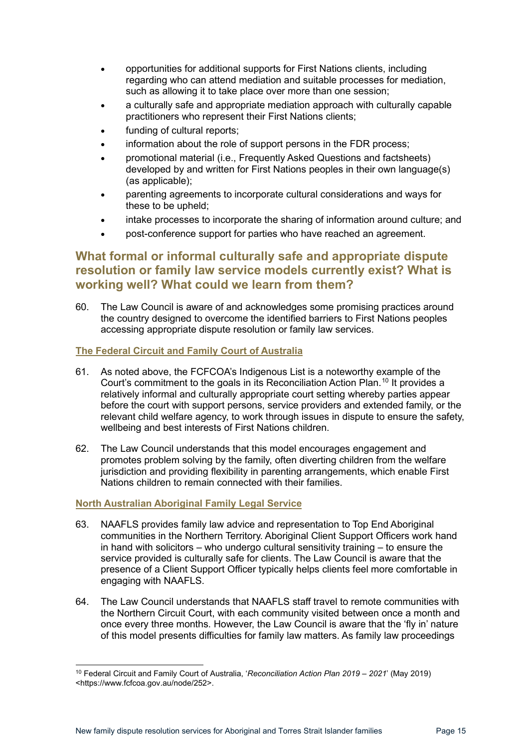- opportunities for additional supports for First Nations clients, including regarding who can attend mediation and suitable processes for mediation, such as allowing it to take place over more than one session;
- a culturally safe and appropriate mediation approach with culturally capable practitioners who represent their First Nations clients;
- funding of cultural reports;
- information about the role of support persons in the FDR process;
- promotional material (i.e., Frequently Asked Questions and factsheets) developed by and written for First Nations peoples in their own language(s) (as applicable);
- parenting agreements to incorporate cultural considerations and ways for these to be upheld;
- intake processes to incorporate the sharing of information around culture; and
- post-conference support for parties who have reached an agreement.

## <span id="page-14-0"></span>**What formal or informal culturally safe and appropriate dispute resolution or family law service models currently exist? What is working well? What could we learn from them?**

60. The Law Council is aware of and acknowledges some promising practices around the country designed to overcome the identified barriers to First Nations peoples accessing appropriate dispute resolution or family law services.

## <span id="page-14-1"></span>**The Federal Circuit and Family Court of Australia**

- 61. As noted above, the FCFCOA's Indigenous List is a noteworthy example of the Court's commitment to the goals in its Reconciliation Action Plan. [10](#page-14-3) It provides a relatively informal and culturally appropriate court setting whereby parties appear before the court with support persons, service providers and extended family, or the relevant child welfare agency, to work through issues in dispute to ensure the safety, wellbeing and best interests of First Nations children.
- 62. The Law Council understands that this model encourages engagement and promotes problem solving by the family, often diverting children from the welfare jurisdiction and providing flexibility in parenting arrangements, which enable First Nations children to remain connected with their families.

## <span id="page-14-2"></span>**North Australian Aboriginal Family Legal Service**

- 63. NAAFLS provides family law advice and representation to Top End Aboriginal communities in the Northern Territory. Aboriginal Client Support Officers work hand in hand with solicitors – who undergo cultural sensitivity training – to ensure the service provided is culturally safe for clients. The Law Council is aware that the presence of a Client Support Officer typically helps clients feel more comfortable in engaging with NAAFLS.
- 64. The Law Council understands that NAAFLS staff travel to remote communities with the Northern Circuit Court, with each community visited between once a month and once every three months. However, the Law Council is aware that the 'fly in' nature of this model presents difficulties for family law matters. As family law proceedings

<span id="page-14-3"></span><sup>10</sup> Federal Circuit and Family Court of Australia, '*Reconciliation Action Plan 2019* – *2021*' (May 2019) <https://www.fcfcoa.gov.au/node/252>.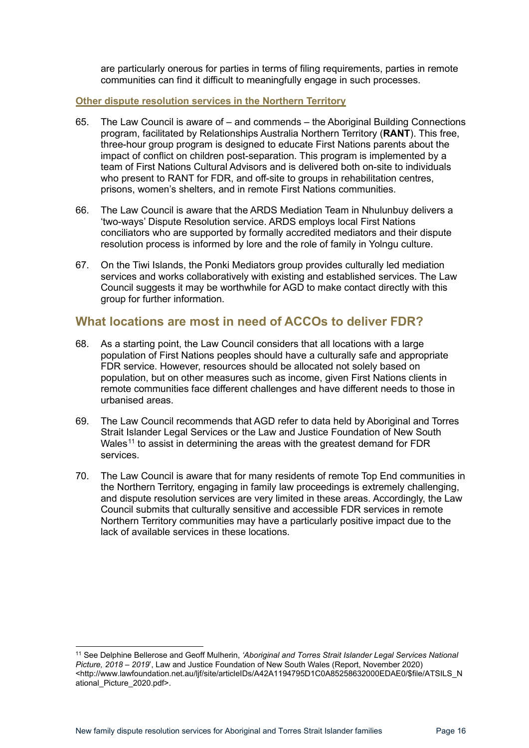are particularly onerous for parties in terms of filing requirements, parties in remote communities can find it difficult to meaningfully engage in such processes.

#### <span id="page-15-0"></span>**Other dispute resolution services in the Northern Territory**

- 65. The Law Council is aware of and commends the Aboriginal Building Connections program, facilitated by Relationships Australia Northern Territory (**RANT**). This free, three-hour group program is designed to educate First Nations parents about the impact of conflict on children post-separation. This program is implemented by a team of First Nations Cultural Advisors and is delivered both on-site to individuals who present to RANT for FDR, and off-site to groups in rehabilitation centres, prisons, women's shelters, and in remote First Nations communities.
- 66. The Law Council is aware that the ARDS Mediation Team in Nhulunbuy delivers a 'two-ways' Dispute Resolution service. ARDS employs local First Nations conciliators who are supported by formally accredited mediators and their dispute resolution process is informed by lore and the role of family in Yolngu culture.
- 67. On the Tiwi Islands, the Ponki Mediators group provides culturally led mediation services and works collaboratively with existing and established services. The Law Council suggests it may be worthwhile for AGD to make contact directly with this group for further information.

## <span id="page-15-1"></span>**What locations are most in need of ACCOs to deliver FDR?**

- 68. As a starting point, the Law Council considers that all locations with a large population of First Nations peoples should have a culturally safe and appropriate FDR service. However, resources should be allocated not solely based on population, but on other measures such as income, given First Nations clients in remote communities face different challenges and have different needs to those in urbanised areas.
- 69. The Law Council recommends that AGD refer to data held by Aboriginal and Torres Strait Islander Legal Services or the Law and Justice Foundation of New South Wales<sup>[11](#page-15-2)</sup> to assist in determining the areas with the greatest demand for FDR services.
- 70. The Law Council is aware that for many residents of remote Top End communities in the Northern Territory, engaging in family law proceedings is extremely challenging, and dispute resolution services are very limited in these areas. Accordingly, the Law Council submits that culturally sensitive and accessible FDR services in remote Northern Territory communities may have a particularly positive impact due to the lack of available services in these locations.

<span id="page-15-2"></span><sup>11</sup> See Delphine Bellerose and Geoff Mulherin, *'Aboriginal and Torres Strait Islander Legal Services National Picture, 2018 – 2019*', Law and Justice Foundation of New South Wales (Report, November 2020) <http://www.lawfoundation.net.au/ljf/site/articleIDs/A42A1194795D1C0A85258632000EDAE0/\$file/ATSILS\_N ational\_Picture\_2020.pdf>.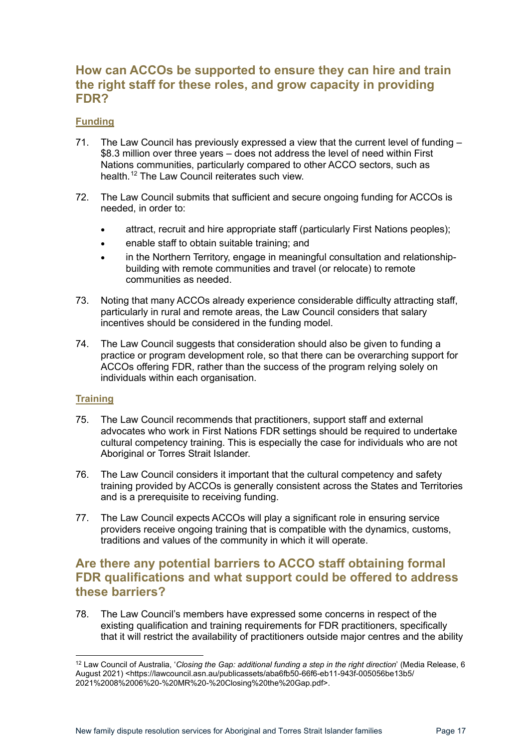## <span id="page-16-0"></span>**How can ACCOs be supported to ensure they can hire and train the right staff for these roles, and grow capacity in providing FDR?**

## <span id="page-16-1"></span>**Funding**

- 71. The Law Council has previously expressed a view that the current level of funding \$8.3 million over three years – does not address the level of need within First Nations communities, particularly compared to other ACCO sectors, such as health.[12](#page-16-4) The Law Council reiterates such view.
- 72. The Law Council submits that sufficient and secure ongoing funding for ACCOs is needed, in order to:
	- attract, recruit and hire appropriate staff (particularly First Nations peoples);
	- enable staff to obtain suitable training; and
	- in the Northern Territory, engage in meaningful consultation and relationshipbuilding with remote communities and travel (or relocate) to remote communities as needed.
- 73. Noting that many ACCOs already experience considerable difficulty attracting staff, particularly in rural and remote areas, the Law Council considers that salary incentives should be considered in the funding model.
- 74. The Law Council suggests that consideration should also be given to funding a practice or program development role, so that there can be overarching support for ACCOs offering FDR, rather than the success of the program relying solely on individuals within each organisation.

## <span id="page-16-2"></span>**Training**

- 75. The Law Council recommends that practitioners, support staff and external advocates who work in First Nations FDR settings should be required to undertake cultural competency training. This is especially the case for individuals who are not Aboriginal or Torres Strait Islander.
- 76. The Law Council considers it important that the cultural competency and safety training provided by ACCOs is generally consistent across the States and Territories and is a prerequisite to receiving funding.
- 77. The Law Council expects ACCOs will play a significant role in ensuring service providers receive ongoing training that is compatible with the dynamics, customs, traditions and values of the community in which it will operate.

## <span id="page-16-3"></span>**Are there any potential barriers to ACCO staff obtaining formal FDR qualifications and what support could be offered to address these barriers?**

78. The Law Council's members have expressed some concerns in respect of the existing qualification and training requirements for FDR practitioners, specifically that it will restrict the availability of practitioners outside major centres and the ability

<span id="page-16-4"></span><sup>12</sup> Law Council of Australia, '*Closing the Gap: additional funding a step in the right direction*' (Media Release, 6 August 2021) <https://lawcouncil.asn.au/publicassets/aba6fb50-66f6-eb11-943f-005056be13b5/ 2021%2008%2006%20-%20MR%20-%20Closing%20the%20Gap.pdf>.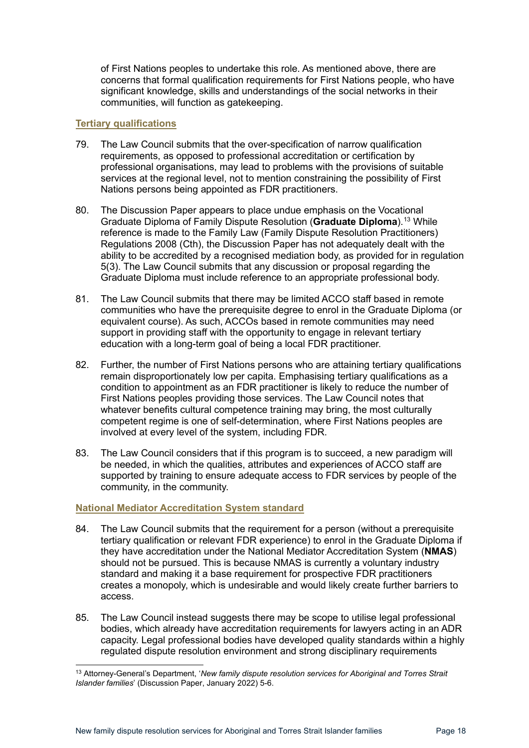of First Nations peoples to undertake this role. As mentioned above, there are concerns that formal qualification requirements for First Nations people, who have significant knowledge, skills and understandings of the social networks in their communities, will function as gatekeeping.

#### <span id="page-17-0"></span>**Tertiary qualifications**

- 79. The Law Council submits that the over-specification of narrow qualification requirements, as opposed to professional accreditation or certification by professional organisations, may lead to problems with the provisions of suitable services at the regional level, not to mention constraining the possibility of First Nations persons being appointed as FDR practitioners.
- 80. The Discussion Paper appears to place undue emphasis on the Vocational Graduate Diploma of Family Dispute Resolution (**Graduate Diploma**). [13](#page-17-2) While reference is made to the Family Law (Family Dispute Resolution Practitioners) Regulations 2008 (Cth), the Discussion Paper has not adequately dealt with the ability to be accredited by a recognised mediation body, as provided for in regulation 5(3). The Law Council submits that any discussion or proposal regarding the Graduate Diploma must include reference to an appropriate professional body.
- 81. The Law Council submits that there may be limited ACCO staff based in remote communities who have the prerequisite degree to enrol in the Graduate Diploma (or equivalent course). As such, ACCOs based in remote communities may need support in providing staff with the opportunity to engage in relevant tertiary education with a long-term goal of being a local FDR practitioner.
- 82. Further, the number of First Nations persons who are attaining tertiary qualifications remain disproportionately low per capita. Emphasising tertiary qualifications as a condition to appointment as an FDR practitioner is likely to reduce the number of First Nations peoples providing those services. The Law Council notes that whatever benefits cultural competence training may bring, the most culturally competent regime is one of self-determination, where First Nations peoples are involved at every level of the system, including FDR.
- 83. The Law Council considers that if this program is to succeed, a new paradigm will be needed, in which the qualities, attributes and experiences of ACCO staff are supported by training to ensure adequate access to FDR services by people of the community, in the community.

## <span id="page-17-1"></span>**National Mediator Accreditation System standard**

- 84. The Law Council submits that the requirement for a person (without a prerequisite tertiary qualification or relevant FDR experience) to enrol in the Graduate Diploma if they have accreditation under the National Mediator Accreditation System (**NMAS**) should not be pursued. This is because NMAS is currently a voluntary industry standard and making it a base requirement for prospective FDR practitioners creates a monopoly, which is undesirable and would likely create further barriers to access.
- 85. The Law Council instead suggests there may be scope to utilise legal professional bodies, which already have accreditation requirements for lawyers acting in an ADR capacity. Legal professional bodies have developed quality standards within a highly regulated dispute resolution environment and strong disciplinary requirements

<span id="page-17-2"></span><sup>13</sup> Attorney-General's Department, '*New family dispute resolution services for Aboriginal and Torres Strait Islander families*' (Discussion Paper, January 2022) 5-6.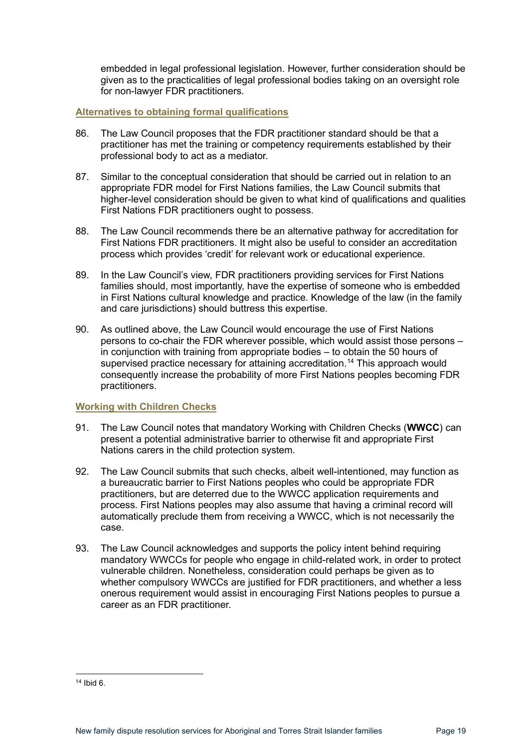embedded in legal professional legislation. However, further consideration should be given as to the practicalities of legal professional bodies taking on an oversight role for non-lawyer FDR practitioners.

## <span id="page-18-0"></span>**Alternatives to obtaining formal qualifications**

- 86. The Law Council proposes that the FDR practitioner standard should be that a practitioner has met the training or competency requirements established by their professional body to act as a mediator.
- 87. Similar to the conceptual consideration that should be carried out in relation to an appropriate FDR model for First Nations families, the Law Council submits that higher-level consideration should be given to what kind of qualifications and qualities First Nations FDR practitioners ought to possess.
- 88. The Law Council recommends there be an alternative pathway for accreditation for First Nations FDR practitioners. It might also be useful to consider an accreditation process which provides 'credit' for relevant work or educational experience.
- 89. In the Law Council's view, FDR practitioners providing services for First Nations families should, most importantly, have the expertise of someone who is embedded in First Nations cultural knowledge and practice. Knowledge of the law (in the family and care jurisdictions) should buttress this expertise.
- 90. As outlined above, the Law Council would encourage the use of First Nations persons to co-chair the FDR wherever possible, which would assist those persons – in conjunction with training from appropriate bodies – to obtain the 50 hours of supervised practice necessary for attaining accreditation.<sup>[14](#page-18-2)</sup> This approach would consequently increase the probability of more First Nations peoples becoming FDR practitioners.

## <span id="page-18-1"></span>**Working with Children Checks**

- 91. The Law Council notes that mandatory Working with Children Checks (**WWCC**) can present a potential administrative barrier to otherwise fit and appropriate First Nations carers in the child protection system.
- 92. The Law Council submits that such checks, albeit well-intentioned, may function as a bureaucratic barrier to First Nations peoples who could be appropriate FDR practitioners, but are deterred due to the WWCC application requirements and process. First Nations peoples may also assume that having a criminal record will automatically preclude them from receiving a WWCC, which is not necessarily the case.
- 93. The Law Council acknowledges and supports the policy intent behind requiring mandatory WWCCs for people who engage in child-related work, in order to protect vulnerable children. Nonetheless, consideration could perhaps be given as to whether compulsory WWCCs are justified for FDR practitioners, and whether a less onerous requirement would assist in encouraging First Nations peoples to pursue a career as an FDR practitioner.

<span id="page-18-2"></span><sup>14</sup> Ibid 6.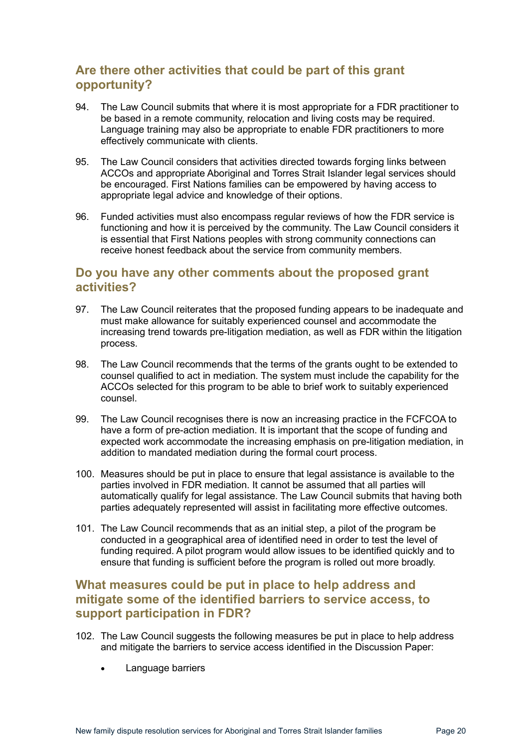## <span id="page-19-0"></span>**Are there other activities that could be part of this grant opportunity?**

- 94. The Law Council submits that where it is most appropriate for a FDR practitioner to be based in a remote community, relocation and living costs may be required. Language training may also be appropriate to enable FDR practitioners to more effectively communicate with clients.
- 95. The Law Council considers that activities directed towards forging links between ACCOs and appropriate Aboriginal and Torres Strait Islander legal services should be encouraged. First Nations families can be empowered by having access to appropriate legal advice and knowledge of their options.
- 96. Funded activities must also encompass regular reviews of how the FDR service is functioning and how it is perceived by the community. The Law Council considers it is essential that First Nations peoples with strong community connections can receive honest feedback about the service from community members.

## <span id="page-19-1"></span>**Do you have any other comments about the proposed grant activities?**

- 97. The Law Council reiterates that the proposed funding appears to be inadequate and must make allowance for suitably experienced counsel and accommodate the increasing trend towards pre-litigation mediation, as well as FDR within the litigation process.
- 98. The Law Council recommends that the terms of the grants ought to be extended to counsel qualified to act in mediation. The system must include the capability for the ACCOs selected for this program to be able to brief work to suitably experienced counsel.
- 99. The Law Council recognises there is now an increasing practice in the FCFCOA to have a form of pre-action mediation. It is important that the scope of funding and expected work accommodate the increasing emphasis on pre-litigation mediation, in addition to mandated mediation during the formal court process.
- 100. Measures should be put in place to ensure that legal assistance is available to the parties involved in FDR mediation. It cannot be assumed that all parties will automatically qualify for legal assistance. The Law Council submits that having both parties adequately represented will assist in facilitating more effective outcomes.
- 101. The Law Council recommends that as an initial step, a pilot of the program be conducted in a geographical area of identified need in order to test the level of funding required. A pilot program would allow issues to be identified quickly and to ensure that funding is sufficient before the program is rolled out more broadly.

## <span id="page-19-2"></span>**What measures could be put in place to help address and mitigate some of the identified barriers to service access, to support participation in FDR?**

- 102. The Law Council suggests the following measures be put in place to help address and mitigate the barriers to service access identified in the Discussion Paper:
	- Language barriers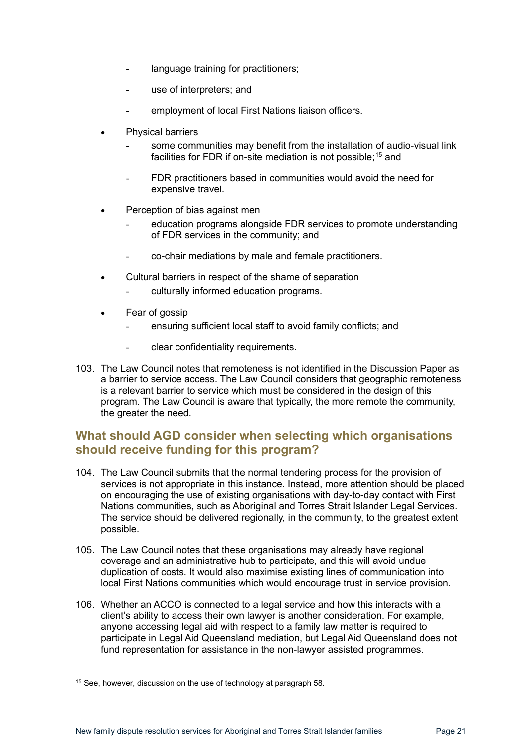- language training for practitioners;
- use of interpreters; and
- employment of local First Nations liaison officers.
- Physical barriers
	- some communities may benefit from the installation of audio-visual link facilities for FDR if on-site mediation is not possible; [15](#page-20-1) and
	- FDR practitioners based in communities would avoid the need for expensive travel.
- Perception of bias against men
	- education programs alongside FDR services to promote understanding of FDR services in the community; and
	- co-chair mediations by male and female practitioners.
- Cultural barriers in respect of the shame of separation
	- culturally informed education programs.
- Fear of gossip
	- ensuring sufficient local staff to avoid family conflicts; and
	- clear confidentiality requirements.
- 103. The Law Council notes that remoteness is not identified in the Discussion Paper as a barrier to service access. The Law Council considers that geographic remoteness is a relevant barrier to service which must be considered in the design of this program. The Law Council is aware that typically, the more remote the community, the greater the need.

## <span id="page-20-0"></span>**What should AGD consider when selecting which organisations should receive funding for this program?**

- 104. The Law Council submits that the normal tendering process for the provision of services is not appropriate in this instance. Instead, more attention should be placed on encouraging the use of existing organisations with day-to-day contact with First Nations communities, such as Aboriginal and Torres Strait Islander Legal Services. The service should be delivered regionally, in the community, to the greatest extent possible.
- 105. The Law Council notes that these organisations may already have regional coverage and an administrative hub to participate, and this will avoid undue duplication of costs. It would also maximise existing lines of communication into local First Nations communities which would encourage trust in service provision.
- 106. Whether an ACCO is connected to a legal service and how this interacts with a client's ability to access their own lawyer is another consideration. For example, anyone accessing legal aid with respect to a family law matter is required to participate in Legal Aid Queensland mediation, but Legal Aid Queensland does not fund representation for assistance in the non-lawyer assisted programmes.

<span id="page-20-1"></span><sup>&</sup>lt;sup>15</sup> See, however, discussion on the use of technology at paragraph 58.